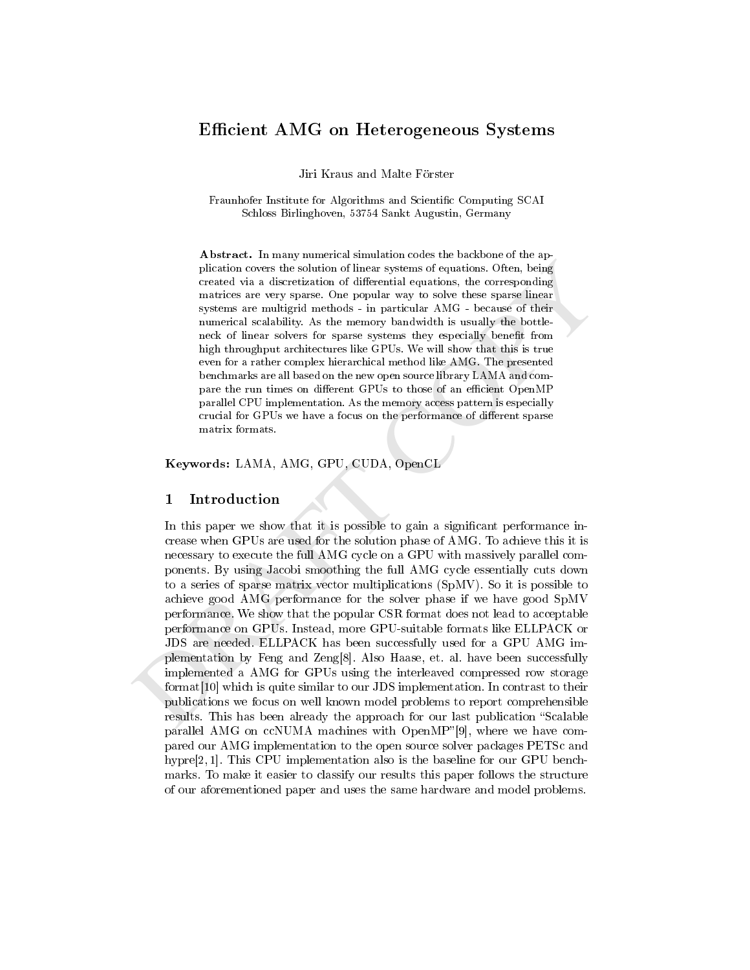# Efficient AMG on Heterogeneous Systems

Jiri Kraus and Malte Förster

Fraunhofer Institute for Algorithms and Scientific Computing SCAI Schloss Birlinghoven, 53754 Sankt Augustin, Germany

Abstract. In many numerical simulation codes the backbone of the application covers the solution of linear systems of equations. Often, being created via a discretization of differential equations, the corresponding matrices are very sparse. One popular way to solve these sparse linear systems are multigrid methods - in particular AMG - because of their numerical scalability. As the memory bandwidth is usually the bottleneck of linear solvers for sparse systems they especially benefit from high throughput architectures like GPUs. We will show that this is true even for a rather complex hierarchical method like AMG. The presented benchmarks are all based on the new open source library LAMA and compare the run times on different GPUs to those of an efficient OpenMP parallel CPU implementation. As the memory access pattern is especially crucial for GPUs we have a focus on the performance of different sparse matrix formats.

Keywords: LAMA, AMG, GPU, CUDA, OpenCL

### 1 Introduction

pleation covers the solution of limear systems of equations, Often, being created via a discretization of differential equations, the corresponding matrices are very space. One popular way to solve these space in methods In this paper we show that it is possible to gain a significant performance increase when GPUs are used for the solution phase of AMG. To achieve this it is necessary to execute the full AMG cycle on a GPU with massively parallel components. By using Jacobi smoothing the full AMG cycle essentially cuts down to a series of sparse matrix vector multiplications (SpMV). So it is possible to achieve good AMG performance for the solver phase if we have good SpMV performance. We show that the popular CSR format does not lead to acceptable performance on GPUs. Instead, more GPU-suitable formats like ELLPACK or JDS are needed. ELLPACK has been successfully used for a GPU AMG implementation by Feng and Zeng[8]. Also Haase, et. al. have been successfully implemented a AMG for GPUs using the interleaved compressed row storage format[10] which is quite similar to our JDS implementation. In contrast to their publications we focus on well known model problems to report comprehensible results. This has been already the approach for our last publication "Scalable" parallel AMG on  $ccNUMA$  machines with OpenMP"[9], where we have compared our AMG implementation to the open source solver packages PETSc and hypre[2, 1]. This CPU implementation also is the baseline for our GPU benchmarks. To make it easier to classify our results this paper follows the structure of our aforementioned paper and uses the same hardware and model problems.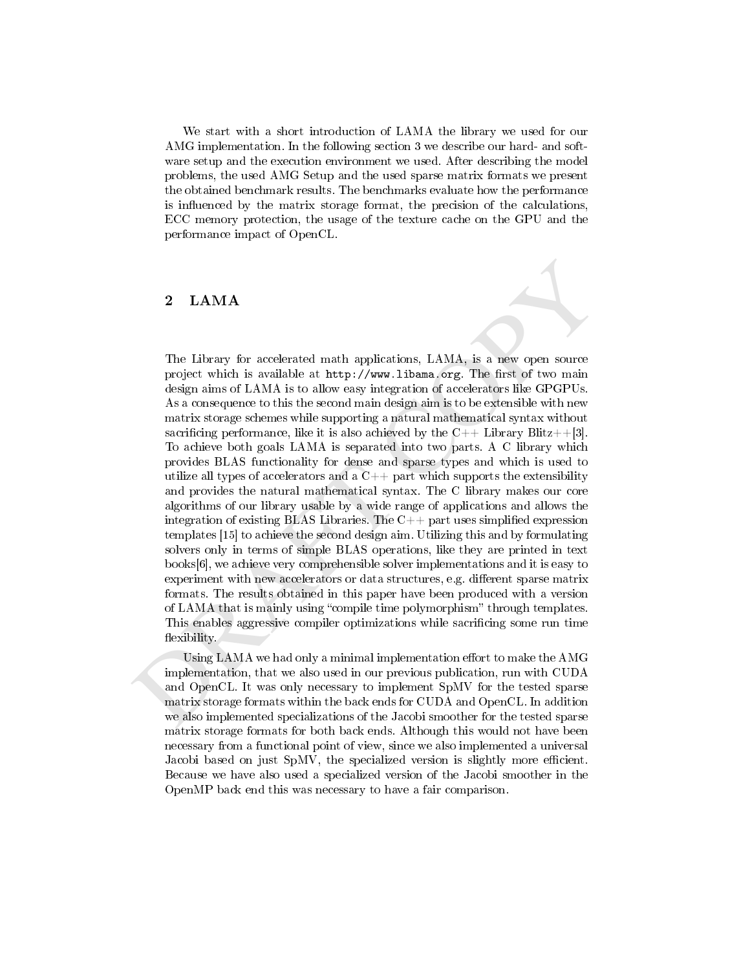We start with a short introduction of LAMA the library we used for our AMG implementation. In the following section 3 we describe our hard- and software setup and the execution environment we used. After describing the model problems, the used AMG Setup and the used sparse matrix formats we present the obtained benchmark results. The benchmarks evaluate how the performance is influenced by the matrix storage format, the precision of the calculations, ECC memory protection, the usage of the texture cache on the GPU and the performance impact of OpenCL.

# 2 LAMA



2 LAMA <br>
2 LAMA <br>
2 LAMA <br>
2 LEMA <br>
2 LEMA <br>
2 LEMA <br>
2 LEMA <br>
2 Proposet which is available at http://www.11bana.org. The first of two main design aims of LAMA is to allow easy integration of accelerators life GPGPUs. As The Library for accelerated math applications, LAMA, is a new open source project which is available at http://www.libama.org. The first of two main design aims of LAMA is to allow easy integration of accelerators like GPGPUs. As a consequence to this the second main design aim is to be extensible with new matrix storage schemes while supporting a natural mathematical syntax without sacrificing performance, like it is also achieved by the  $C++$  Library Blitz++[3]. To achieve both goals LAMA is separated into two parts. A C library which provides BLAS functionality for dense and sparse types and which is used to utilize all types of accelerators and a  $C++$  part which supports the extensibility and provides the natural mathematical syntax. The C library makes our core algorithms of our library usable by a wide range of applications and allows the integration of existing BLAS Libraries. The  $C_{++}$  part uses simplified expression templates [15] to achieve the second design aim. Utilizing this and by formulating solvers only in terms of simple BLAS operations, like they are printed in text books[6], we achieve very comprehensible solver implementations and it is easy to experiment with new accelerators or data structures, e.g. different sparse matrix formats. The results obtained in this paper have been produced with a version of LAMA that is mainly using "compile time polymorphism" through templates. This enables aggressive compiler optimizations while sacrificing some run time flexibility.

Using LAMA we had only a minimal implementation effort to make the AMG implementation, that we also used in our previous publication, run with CUDA and OpenCL. It was only necessary to implement SpMV for the tested sparse matrix storage formats within the back ends for CUDA and OpenCL. In addition we also implemented specializations of the Jacobi smoother for the tested sparse matrix storage formats for both back ends. Although this would not have been necessary from a functional point of view, since we also implemented a universal Jacobi based on just SpMV, the specialized version is slightly more efficient. Because we have also used a specialized version of the Jacobi smoother in the OpenMP back end this was necessary to have a fair comparison.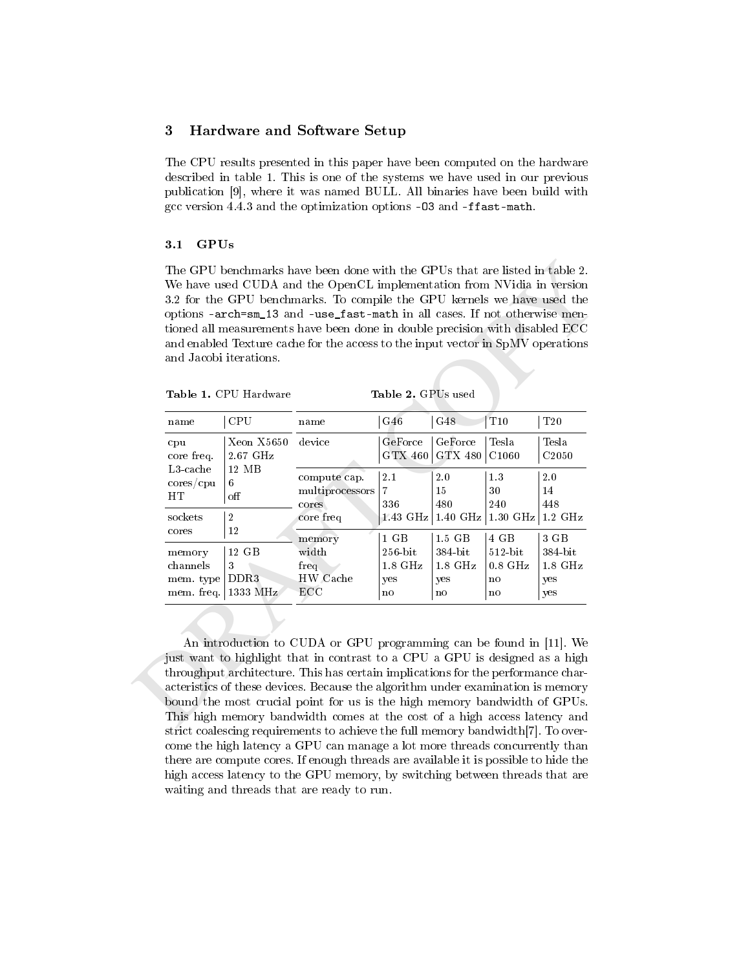### 3 Hardware and Software Setup

The CPU results presented in this paper have been computed on the hardware described in table 1. This is one of the systems we have used in our previous publication [9], where it was named BULL. All binaries have been build with gcc version 4.4.3 and the optimization options -O3 and -ffast-math.

#### 3.1 GPUs

|  |  |  | Table 1. CPU Hardware |
|--|--|--|-----------------------|
|--|--|--|-----------------------|

Table 2. GPUs used

|                                                  | Table 1. CPU Hardware  |                                 | Table 2. GPUs used        |                                |                  |                            |
|--------------------------------------------------|------------------------|---------------------------------|---------------------------|--------------------------------|------------------|----------------------------|
| name                                             | CPU                    | name                            | G46                       | G48                            | T10              | T20                        |
| cpu<br>core freq.                                | Xeon X5650<br>2.67 GHz | device                          | GeForce<br>$GTX$ 460      | GeForce<br>$GTX$ 480           | Tesla<br>C1060   | Tesla<br>C <sub>2050</sub> |
| $L3$ -cache<br>$\frac{\text{cores}}{\text{cpu}}$ | 12 MB<br>6             | compute cap.<br>multiprocessors | $2.1\,$<br>$\overline{7}$ | $2.0\,$<br>15                  | 1.3<br>30        | 2.0<br>14                  |
| HT                                               | off                    | cores                           | 336                       | 480                            | 240              | 448                        |
| sockets                                          | $\overline{2}$         | core freq                       |                           | 1.43 GHz   1.40 GHz   1.30 GHz |                  | $1.2 \text{ GHz}$          |
| cores                                            | 12                     | memory                          | $1$ GB                    | $1.5$ GB                       | $4$ GB           | $3$ GB                     |
| memory                                           | 12 GB                  | width                           | 256 bit                   | 384 bit                        | $512$ bit        | 384 bit                    |
| channels                                         | 3                      | $_{\rm freq.}$                  | $1.8\text{ GHz}$          | $1.8\text{ GHz}$               | $0.8\text{ GHz}$ | $1.8\text{ GHz}$           |
| mem. type                                        | DDR <sub>3</sub>       | HW Cache                        | yes                       | <b>y</b> es                    | $\mathbf{n}$     | yes                        |
| mem. freq.                                       | 1333 MHz               | ECC                             | $\mathbf{n}$              | $\mathbf{n}$                   | $\mathbf{n}\,$   | yes                        |

An introduction to CUDA or GPU programming can be found in [11]. We just want to highlight that in contrast to a CPU a GPU is designed as a high throughput architecture. This has certain implications for the performance characteristics of these devices. Because the algorithm under examination is memory bound the most crucial point for us is the high memory bandwidth of GPUs. This high memory bandwidth comes at the cost of a high access latency and strict coalescing requirements to achieve the full memory bandwidth[7]. To overcome the high latency a GPU can manage a lot more threads concurrently than there are compute cores. If enough threads are available it is possible to hide the high access latency to the GPU memory, by switching between threads that are waiting and threads that are ready to run.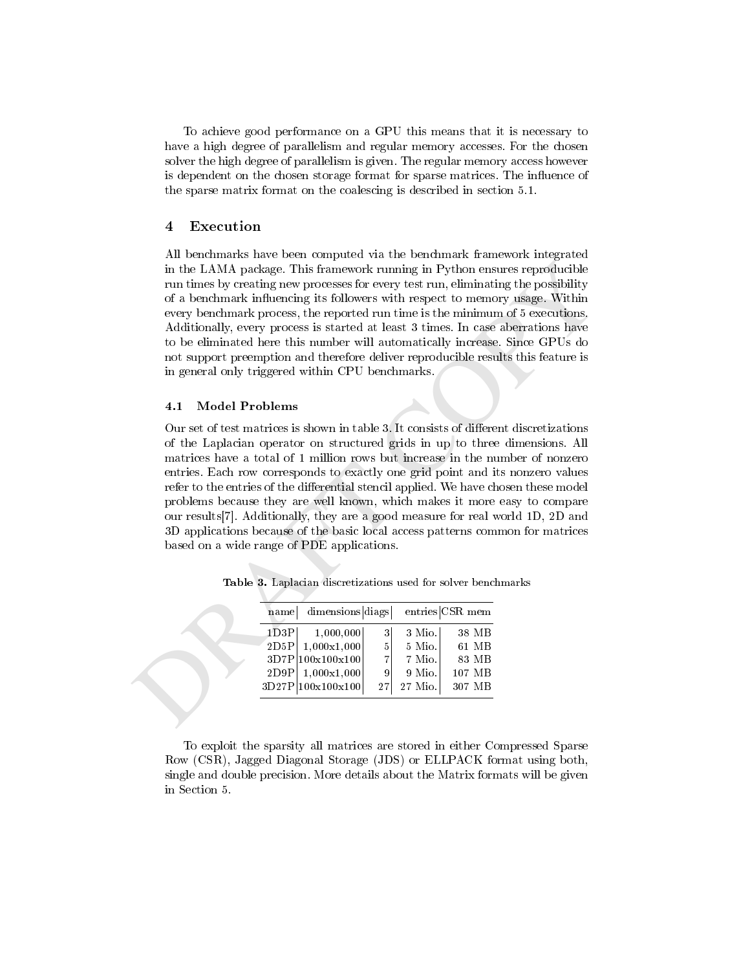To achieve good performance on a GPU this means that it is necessary to have a high degree of parallelism and regular memory accesses. For the chosen solver the high degree of parallelism is given. The regular memory access however is dependent on the chosen storage format for sparse matrices. The influence of the sparse matrix format on the coalescing is described in section 5.1.

### 4 Execution

All benchmarks have been computed via the benchmark framework integrated in the LAMA package. This framework running in Python ensures reproducible run times by creating new processes for every test run, eliminating the possibility of a benchmark influencing its followers with respect to memory usage. Within every benchmark process, the reported run time is the minimum of 5 executions. Additionally, every process is started at least 3 times. In case aberrations have to be eliminated here this number will automatically increase. Since GPUs do not support preemption and therefore deliver reproducible results this feature is in general only triggered within CPU benchmarks.

### 4.1 Model Problems

in the LAMA package. This framework running in Python cnauses reproducible run times by receiving the prosibility of a benchmark infuncting the bosonious of a benchmark infuncting the bosonious vibrac corresponds to the p Our set of test matrices is shown in table 3. It consists of dierent discretizations of the Laplacian operator on structured grids in up to three dimensions. All matrices have a total of 1 million rows but increase in the number of nonzero entries. Each row corresponds to exactly one grid point and its nonzero values refer to the entries of the differential stencil applied. We have chosen these model problems because they are well known, which makes it more easy to compare our results[7]. Additionally, they are a good measure for real world 1D, 2D and 3D applications because of the basic local access patterns common for matrices based on a wide range of PDE applications.

|      | name dimensions diags |    |          | entries CSR mem |
|------|-----------------------|----|----------|-----------------|
| 1D3P | 1,000,000             | 3  | $3$ Mio. | 38 MB           |
| 2D5P | $1,000 \times 1,000$  | 5  | $5$ Mio. | 61 MB           |
|      | 3D7P 100x100x100      |    | 7 Mio.   | 83 MB           |
| 2D9P | 1,000x1,000           | 9  | $9$ Mio. | 107 MB          |
|      | 3D27P 100x100x100     | 27 | 27 Mio.  | 307 MB          |
|      |                       |    |          |                 |

Table 3. Laplacian discretizations used for solver benchmarks

To exploit the sparsity all matrices are stored in either Compressed Sparse Row (CSR), Jagged Diagonal Storage (JDS) or ELLPACK format using both, single and double precision. More details about the Matrix formats will be given in Section 5.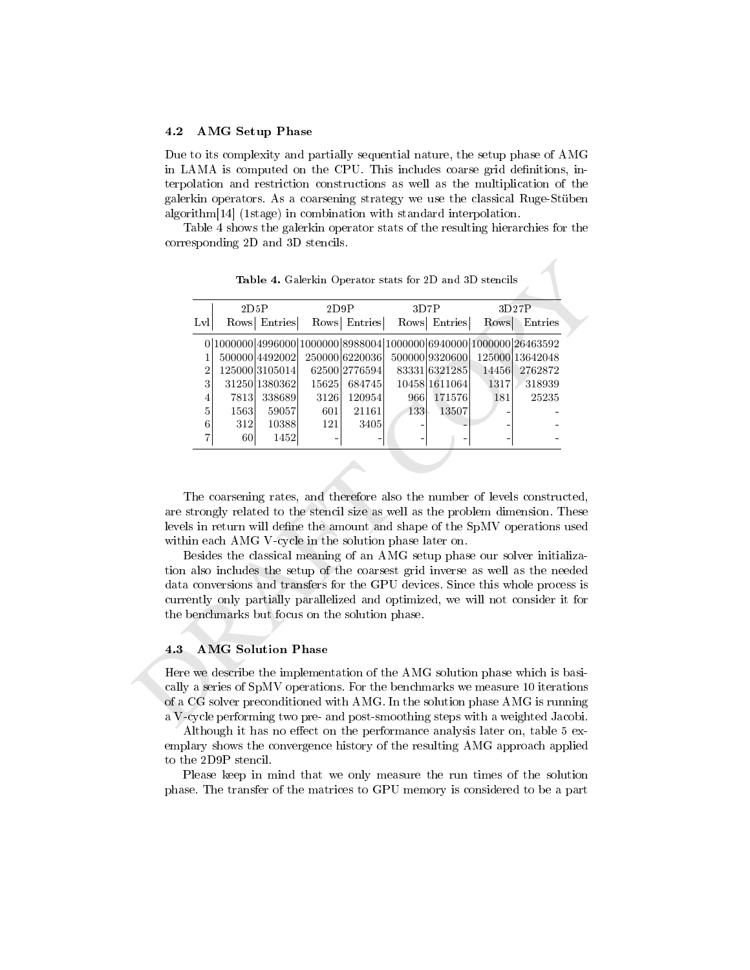#### 4.2 AMG Setup Phase

Due to its complexity and partially sequential nature, the setup phase of AMG in LAMA is computed on the CPU. This includes coarse grid definitions, interpolation and restriction constructions as well as the multiplication of the galerkin operators. As a coarsening strategy we use the classical Ruge-Stüben algorithm[14] (1stage) in combination with standard interpolation.

Table 4 shows the galerkin operator stats of the resulting hierarchies for the corresponding 2D and 3D stencils.

|                | 2D5P |                           | 2D9P  |                                                                                                            | 3D7P |                |       | 3D27P                                                                                                                                                                                                                                                                                                                                |
|----------------|------|---------------------------|-------|------------------------------------------------------------------------------------------------------------|------|----------------|-------|--------------------------------------------------------------------------------------------------------------------------------------------------------------------------------------------------------------------------------------------------------------------------------------------------------------------------------------|
| Lvl            |      | Rows Entries              |       | Rows Entries                                                                                               |      | Rows Entries   | Rows  | Entries                                                                                                                                                                                                                                                                                                                              |
|                |      |                           |       |                                                                                                            |      |                |       | $0 1000000 4996000 1000000 8988004 1000000 6940000 1000000 26463592$                                                                                                                                                                                                                                                                 |
| 1              |      | 500000 4492002            |       | 250000 6220036                                                                                             |      | 500000 9320600 |       | 125000 13642048                                                                                                                                                                                                                                                                                                                      |
| $\overline{2}$ |      | 125000 3105014            |       | 62500 2776594                                                                                              |      | 83331 6321285  | 14456 | 2762872                                                                                                                                                                                                                                                                                                                              |
| 3              |      | 31250 1380362             | 15625 | 684745                                                                                                     |      | 10458 1611064  | 1317  | 318939                                                                                                                                                                                                                                                                                                                               |
| 4              | 7813 | 338689                    | 3126  | 120954                                                                                                     | 966  | 171576         | 181   | 25235                                                                                                                                                                                                                                                                                                                                |
| 5              | 1563 | 59057                     | 601   | 21161                                                                                                      | 133  | 13507          |       |                                                                                                                                                                                                                                                                                                                                      |
| 6              | 312  | 10388                     | 121   | 3405                                                                                                       |      |                |       |                                                                                                                                                                                                                                                                                                                                      |
| 7              | 60   | 1452                      |       |                                                                                                            |      |                |       |                                                                                                                                                                                                                                                                                                                                      |
|                |      |                           |       |                                                                                                            |      |                |       | The coarsening rates, and therefore also the number of levels constructed,<br>are strongly related to the stencil size as well as the problem dimension. These<br>levels in return will define the amount and shape of the SpMV operations used                                                                                      |
|                |      |                           |       | within each AMG V-cycle in the solution phase later on.<br>the benchmarks but focus on the solution phase. |      |                |       | Besides the classical meaning of an AMG setup phase our solver initializa-<br>tion also includes the setup of the coarsest grid inverse as well as the needed<br>data conversions and transfers for the GPU devices. Since this whole process is<br>currently only partially parallelized and optimized, we will not consider it for |
| 4.3            |      | <b>AMG Solution Phase</b> |       |                                                                                                            |      |                |       | Here we describe the implementation of the AMG solution phase which is basi-                                                                                                                                                                                                                                                         |

Table 4. Galerkin Operator stats for 2D and 3D stencils

#### 4.3 AMG Solution Phase

Although it has no effect on the performance analysis later on, table  $5 \text{ ex-}$ emplary shows the convergence history of the resulting AMG approach applied to the 2D9P stencil.

Please keep in mind that we only measure the run times of the solution phase. The transfer of the matrices to GPU memory is considered to be a part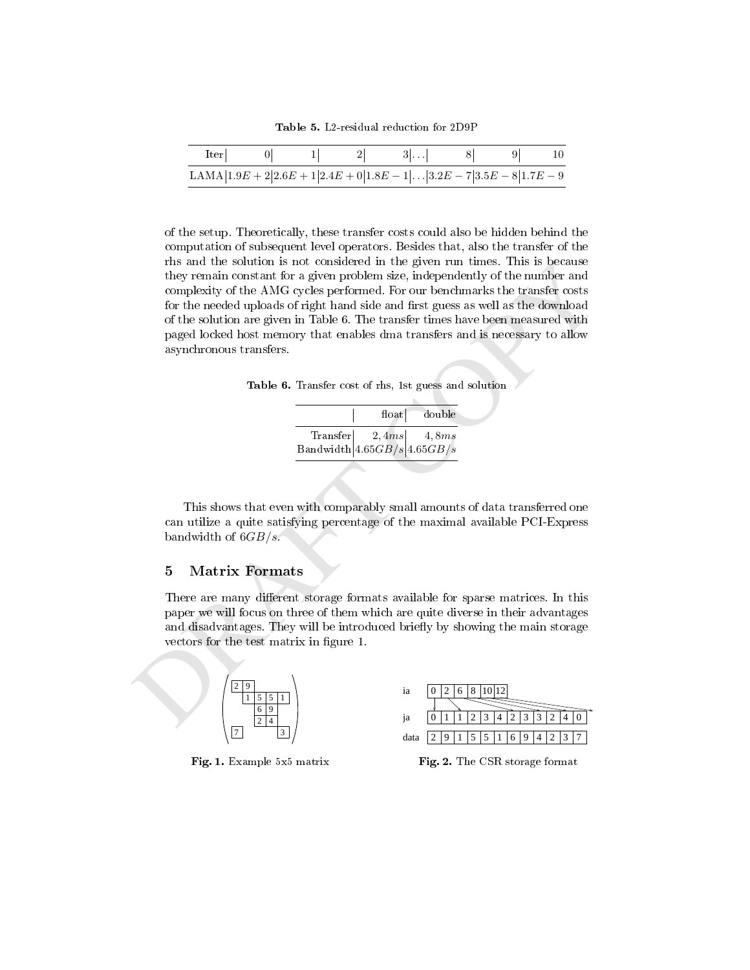|  |  | Iter 0 1 2 3 8 9 10                                                           |  |
|--|--|-------------------------------------------------------------------------------|--|
|  |  | $\text{LAMA} 1.9E + 2 2.6E + 1 2.4E + 0 1.8E - 1  3.2E - 7 3.5E - 8 1.7E - 9$ |  |

Table 5. L2-residual reduction for 2D9P

This and the solution is not considered in the given run times. This is because<br>they remain constant for a given problem size, independently of the number and<br>complexity of the AMG cytects performed. For our benchmarks th of the setup. Theoretically, these transfer costs could also be hidden behind the computation of subsequent level operators. Besides that, also the transfer of the rhs and the solution is not considered in the given run times. This is because they remain constant for a given problem size, independently of the number and complexity of the AMG cycles performed. For our benchmarks the transfer costs for the needed uploads of right hand side and first guess as well as the download of the solution are given in Table 6. The transfer times have been measured with paged locked host memory that enables dma transfers and is necessary to allow asynchronous transfers.

Table 6. Transfer cost of rhs, 1st guess and solution

|                                                                                 | float | double |
|---------------------------------------------------------------------------------|-------|--------|
| Transfer $\begin{vmatrix} 2, 4ms & 4, 8ms \\ 4.65GB/s & 4.65GB/s \end{vmatrix}$ |       |        |

This shows that even with comparably small amounts of data transferred one can utilize a quite satisfying percentage of the maximal available PCI-Express bandwidth of  $6GB/s$ .

## 5 Matrix Formats

There are many different storage formats available for sparse matrices. In this paper we will focus on three of them which are quite diverse in their advantages and disadvantages. They will be introduced briefly by showing the main storage vectors for the test matrix in figure 1.



Fig. 1. Example 5x5 matrix



Fig. 2. The CSR storage format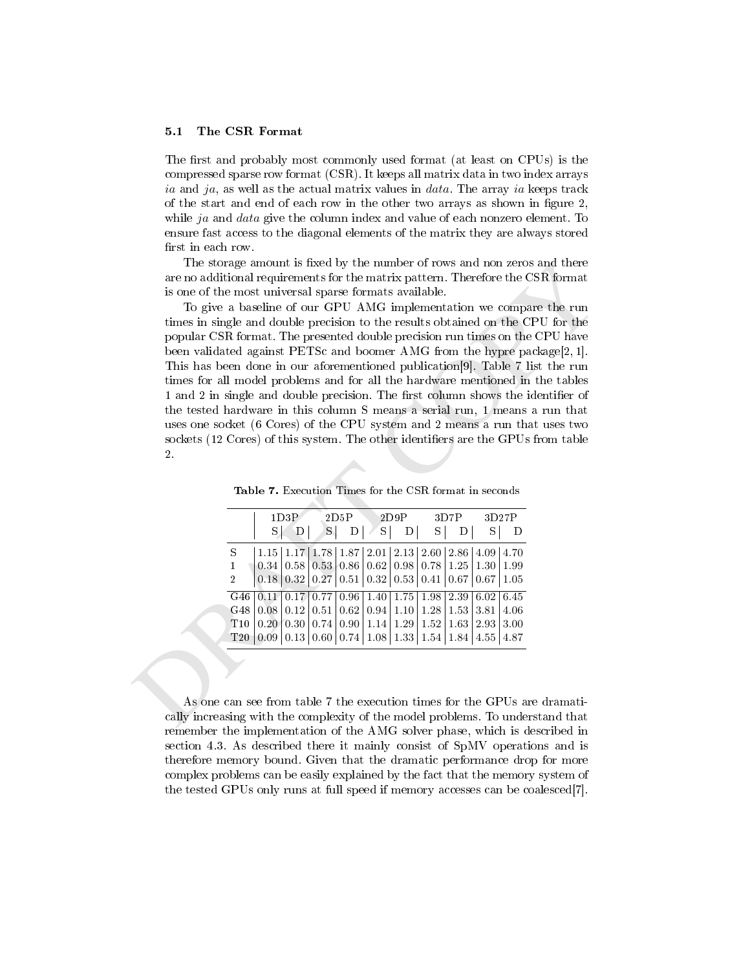#### 5.1 The CSR Format

The first and probably most commonly used format (at least on CPUs) is the compressed sparse row format (CSR). It keeps all matrix data in two index arrays ia and ja, as well as the actual matrix values in  $data$ . The array ia keeps track of the start and end of each row in the other two arrays as shown in figure  $2$ , while ja and data give the column index and value of each nonzero element. To ensure fast access to the diagonal elements of the matrix they are always stored first in each row.

The storage amount is fixed by the number of rows and non zeros and there are no additional requirements for the matrix pattern. Therefore the CSR format is one of the most universal sparse formats available.

The storage amount is fixed by the number of rows and on zeros and there are no additional requirements for the matrix pattern. Therefore the CSR format<br>is one of the most universal space formats available.<br>To give a base To give a baseline of our GPU AMG implementation we compare the run times in single and double precision to the results obtained on the CPU for the popular CSR format. The presented double precision run times on the CPU have been validated against PETSc and boomer AMG from the hypre package [2, 1]. This has been done in our aforementioned publication[9]. Table 7 list the run times for all model problems and for all the hardware mentioned in the tables 1 and 2 in single and double precision. The first column shows the identifier of the tested hardware in this column S means a serial run, 1 means a run that uses one socket (6 Cores) of the CPU system and 2 means a run that uses two sockets (12 Cores) of this system. The other identifiers are the GPUs from table 2.

|                | $S_{-}$ | 1D3P<br>D |                                                                                                                     | $\sim 2\,\mathrm{D5\,P}$<br>$S \vert$<br>D | S l | 2D9P<br>D <sub>1</sub> | S | 3D7P<br>DΙ | S | 3D27P |
|----------------|---------|-----------|---------------------------------------------------------------------------------------------------------------------|--------------------------------------------|-----|------------------------|---|------------|---|-------|
| S              |         |           | $\vert 1.15 \vert 1.17 \vert 1.78 \vert 1.87 \vert 2.01 \vert 2.13 \vert 2.60 \vert 2.86 \vert 4.09 \vert 4.70$     |                                            |     |                        |   |            |   |       |
| 1              |         |           | $\mid$ 0.34   0.58   0.53   0.86   0.62   0.98   0.78   1.25   1.30   1.99                                          |                                            |     |                        |   |            |   |       |
| 2 <sup>1</sup> |         |           | $(0.18) 0.32   0.27   0.51   0.32   0.53   0.41   0.67   0.67   1.05)$                                              |                                            |     |                        |   |            |   |       |
|                |         |           | G46 0.11 0.17 0.77 0.96 1.40 1.75 1.98 2.39 6.02 6.45                                                               |                                            |     |                        |   |            |   |       |
|                |         |           | G48 $\vert 0.08 \vert 0.12 \vert 0.51 \vert 0.62 \vert 0.94 \vert 1.10 \vert 1.28 \vert 1.53 \vert 3.81 \vert 4.06$ |                                            |     |                        |   |            |   |       |
| T10            |         |           | $0.20 \mid 0.30 \mid 0.74 \mid 0.90 \mid 1.14 \mid 1.29 \mid 1.52 \mid 1.63 \mid 2.93 \mid 3.00$                    |                                            |     |                        |   |            |   |       |
| T20            |         |           | $\vert 0.09 \vert 0.13 \vert 0.60 \vert 0.74 \vert 1.08 \vert 1.33 \vert 1.54 \vert 1.84 \vert 4.55 \vert 4.87$     |                                            |     |                        |   |            |   |       |

Table 7. Execution Times for the CSR format in seconds

As one can see from table 7 the execution times for the GPUs are dramatically increasing with the complexity of the model problems. To understand that remember the implementation of the AMG solver phase, which is described in section 4.3. As described there it mainly consist of SpMV operations and is therefore memory bound. Given that the dramatic performance drop for more complex problems can be easily explained by the fact that the memory system of the tested GPUs only runs at full speed if memory accesses can be coalesced[7].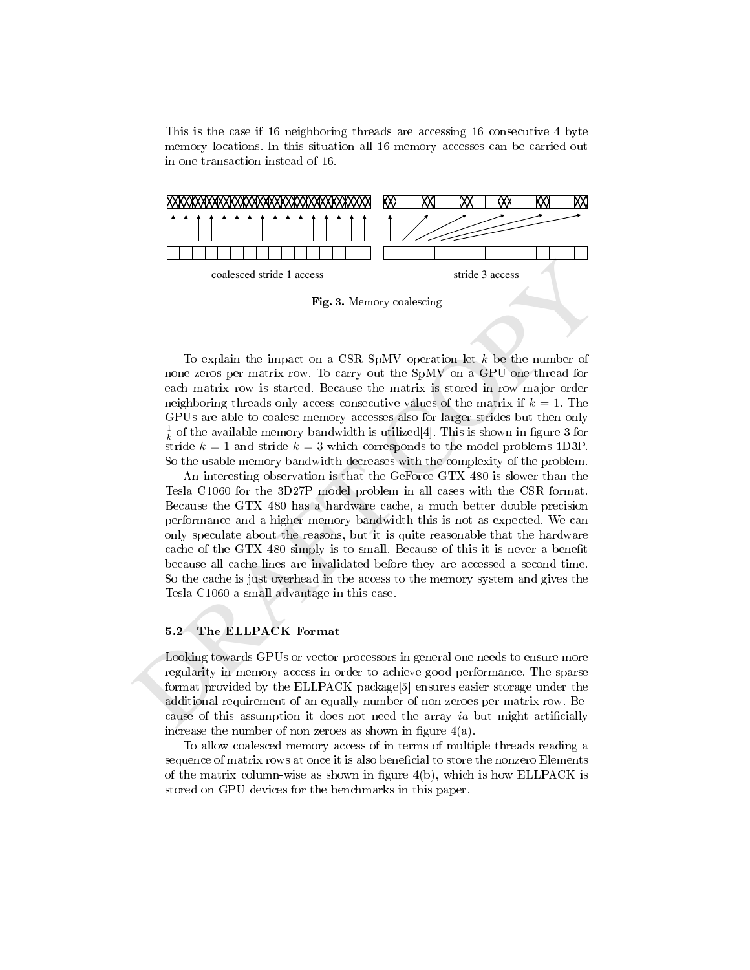This is the case if 16 neighboring threads are accessing 16 consecutive 4 byte memory locations. In this situation all 16 memory accesses can be carried out in one transaction instead of 16.



To explain the impact on a CSR SpMV operation let  $k$  be the number of none zeros per matrix row. To carry out the SpMV on a GPU one thread for each matrix row is started. Because the matrix is stored in row major order neighboring threads only access consecutive values of the matrix if  $k = 1$ . The GPUs are able to coalesc memory accesses also for larger strides but then only  $\frac{1}{k}$  of the available memory bandwidth is utilized[4]. This is shown in figure 3 for stride  $k = 1$  and stride  $k = 3$  which corresponds to the model problems 1D3P. So the usable memory bandwidth decreases with the complexity of the problem.

coalesced stride 1 access stride 3 access stride 3 access stride 3 access  $\Gamma$  is a Memory coalescing stride 3 access  $\Gamma$  is a Memory coalescing the mumber of none zeros per matrix row. To carry out the SpMV on a GPU one An interesting observation is that the GeForce GTX 480 is slower than the Tesla C1060 for the 3D27P model problem in all cases with the CSR format. Because the GTX 480 has a hardware cache, a much better double precision performance and a higher memory bandwidth this is not as expected. We can only speculate about the reasons, but it is quite reasonable that the hardware cache of the GTX 480 simply is to small. Because of this it is never a benefit because all cache lines are invalidated before they are accessed a second time. So the cache is just overhead in the access to the memory system and gives the Tesla C1060 a small advantage in this case.

### 5.2 The ELLPACK Format

Looking towards GPUs or vector-processors in general one needs to ensure more regularity in memory access in order to achieve good performance. The sparse format provided by the ELLPACK package[5] ensures easier storage under the additional requirement of an equally number of non zeroes per matrix row. Because of this assumption it does not need the array ia but might artificially increase the number of non zeroes as shown in figure  $4(a)$ .

To allow coalesced memory access of in terms of multiple threads reading a sequence of matrix rows at once it is also beneficial to store the nonzero Elements of the matrix column-wise as shown in figure  $4(b)$ , which is how ELLPACK is stored on GPU devices for the benchmarks in this paper.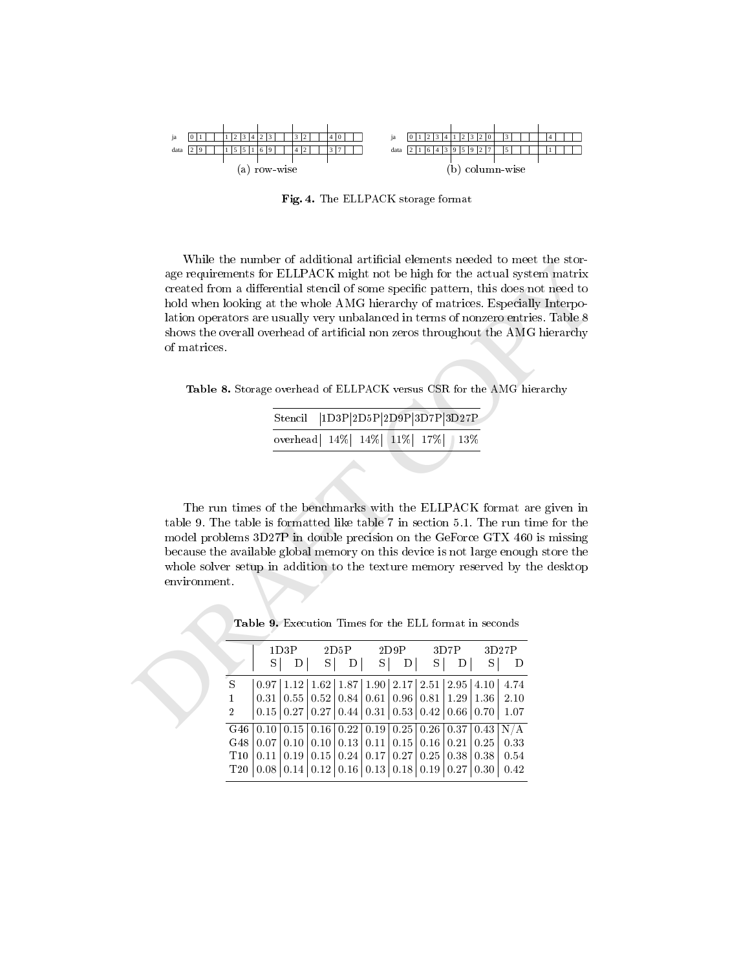

Fig. 4. The ELLPACK storage format

While the function a anti-matrix conduct and the entire in some that the state of the matrix created from a differential sterich both when booking at the whole AMG hierarchy of matrices. Especially Interpro-<br>lation operat While the number of additional artificial elements needed to meet the storage requirements for ELLPACK might not be high for the actual system matrix created from a differential stencil of some specific pattern, this does not need to hold when looking at the whole AMG hierarchy of matrices. Especially Interpolation operators are usually very unbalanced in terms of nonzero entries. Table 8 shows the overall overhead of artificial non zeros throughout the AMG hierarchy of matrices.

Table 8. Storage overhead of ELLPACK versus CSR for the AMG hierarchy

| Stencil  1D3P 2D5P 2D9P 3D7P 3D27P |  |  |  |
|------------------------------------|--|--|--|
| overhead 14% 14% 11% 17% 13%       |  |  |  |

The run times of the benchmarks with the ELLPACK format are given in table 9. The table is formatted like table 7 in section 5.1. The run time for the model problems 3D27P in double precision on the GeForce GTX 460 is missing because the available global memory on this device is not large enough store the whole solver setup in addition to the texture memory reserved by the desktop environment.

Table 9. Execution Times for the ELL format in seconds

|             |     | 1D3P     |                                                                                                                     | $2\mathrm{D5P}$ | 2D9P |                |     | 3D7P |     | 3D27P |
|-------------|-----|----------|---------------------------------------------------------------------------------------------------------------------|-----------------|------|----------------|-----|------|-----|-------|
|             | S l | $D \mid$ | S l                                                                                                                 | DΙ              | S l  | D <sub>1</sub> | S l | D l  | S l |       |
| S           |     |          | $(0.97   1.12   1.62   1.87   1.90   2.17   2.51   2.95   4.10   4.74)$                                             |                 |      |                |     |      |     |       |
|             |     |          | $0.31 \mid 0.55 \mid 0.52 \mid 0.84 \mid 0.61 \mid 0.96 \mid 0.81 \mid 1.29 \mid 1.36 \mid 2.10$                    |                 |      |                |     |      |     |       |
| $2^{\circ}$ |     |          | $\vert 0.15 \vert 0.27 \vert 0.27 \vert 0.44 \vert 0.31 \vert 0.53 \vert 0.42 \vert 0.66 \vert 0.70 \vert$          |                 |      |                |     |      |     | 1.07  |
|             |     |          | $G46 0.10 0.15 0.16 0.22 0.19 0.25 0.26 0.37 0.43 N/A$                                                              |                 |      |                |     |      |     |       |
|             |     |          | G48 $\vert 0.07 \vert 0.10 \vert 0.10 \vert 0.13 \vert 0.11 \vert 0.15 \vert 0.16 \vert 0.21 \vert 0.25 \vert 0.33$ |                 |      |                |     |      |     |       |
|             |     |          | T10   0.11   0.19   0.15   0.24   0.17   0.27   0.25   0.38   0.38   0.54                                           |                 |      |                |     |      |     |       |
| $\rm{T}20$  |     |          | $\vert 0.08 \vert 0.14 \vert 0.12 \vert 0.16 \vert 0.13 \vert 0.18 \vert 0.19 \vert 0.27 \vert 0.30 \vert$          |                 |      |                |     |      |     | 0.42  |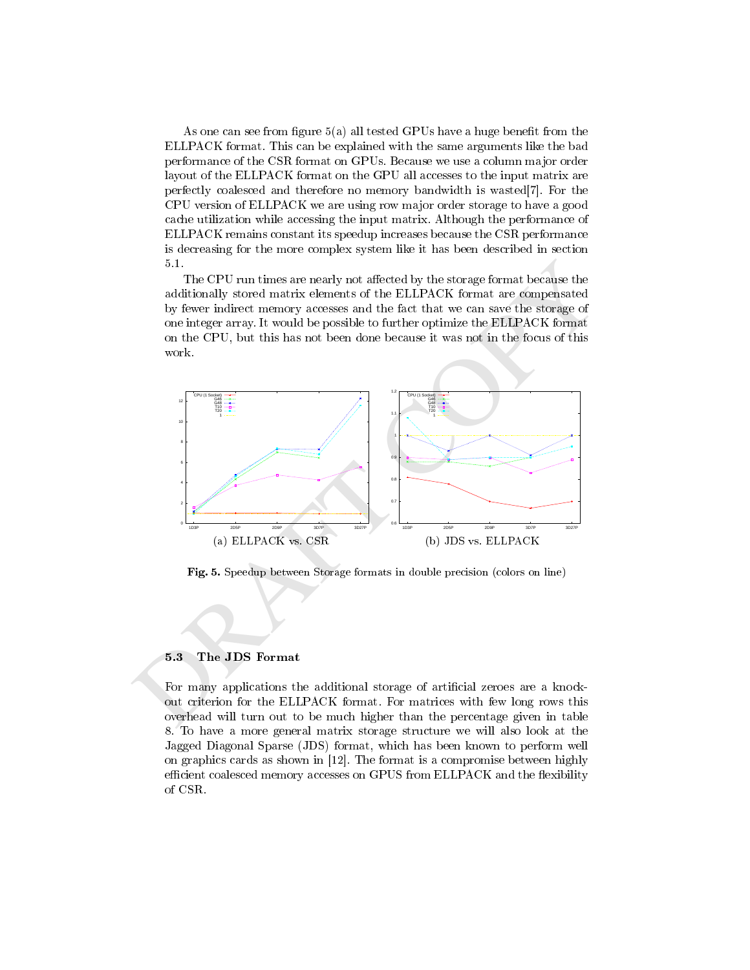As one can see from figure  $5(a)$  all tested GPUs have a huge benefit from the ELLPACK format. This can be explained with the same arguments like the bad performance of the CSR format on GPUs. Because we use a column major order layout of the ELLPACK format on the GPU all accesses to the input matrix are perfectly coalesced and therefore no memory bandwidth is wasted[7]. For the CPU version of ELLPACK we are using row major order storage to have a good cache utilization while accessing the input matrix. Although the performance of ELLPACK remains constant its speedup increases because the CSR performance is decreasing for the more complex system like it has been described in section 5.1.

The CPU run times are nearly not affected by the storage format because the additionally stored matrix elements of the ELLPACK format are compensated by fewer indirect memory accesses and the fact that we can save the storage of one integer array. It would be possible to further optimize the ELLPACK format on the CPU, but this has not been done because it was not in the focus of this work.



Fig. 5. Speedup between Storage formats in double precision (colors on line)

### 5.3 The JDS Format

For many applications the additional storage of artificial zeroes are a knockout criterion for the ELLPACK format. For matrices with few long rows this overhead will turn out to be much higher than the percentage given in table 8. To have a more general matrix storage structure we will also look at the Jagged Diagonal Sparse (JDS) format, which has been known to perform well on graphics cards as shown in [12]. The format is a compromise between highly efficient coalesced memory accesses on GPUS from ELLPACK and the flexibility of CSR.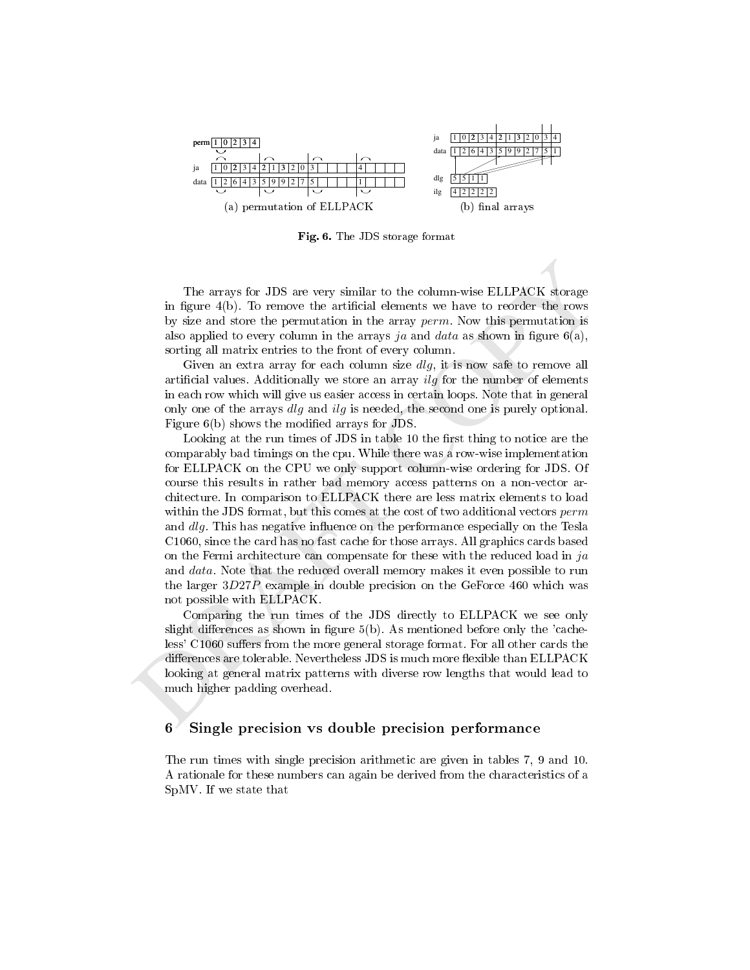

Fig. 6. The JDS storage format

The arrays for JDS are very similar to the column-wise ELLPACK storage in figure  $4(b)$ . To remove the artificial elements we have to reorder the rows by size and store the permutation in the array *perm*. Now this permutation is also applied to every column in the arrays ja and data as shown in figure  $6(a)$ , sorting all matrix entries to the front of every column.

Given an extra array for each column size  $dlg$ , it is now safe to remove all artificial values. Additionally we store an array  $ilg$  for the number of elements in each row which will give us easier access in certain loops. Note that in general only one of the arrays dlg and ilg is needed, the second one is purely optional. Figure  $6(b)$  shows the modified arrays for JDS.

The arrays for JDS are very similar to the column-wise ELLPACK slorage<br>in figure 4(b). To remove the artificial elements we have to reorder the rows<br>by size and store the permutation in the array perm. Now this permutatio Looking at the run times of JDS in table 10 the first thing to notice are the comparably bad timings on the cpu. While there was a row-wise implementation for ELLPACK on the CPU we only support column-wise ordering for JDS. Of course this results in rather bad memory access patterns on a non-vector architecture. In comparison to ELLPACK there are less matrix elements to load within the JDS format, but this comes at the cost of two additional vectors  $perm$ and  $\text{d}l\text{g}$ . This has negative influence on the performance especially on the Tesla C1060, since the card has no fast cache for those arrays. All graphics cards based on the Fermi architecture can compensate for these with the reduced load in ja and data. Note that the reduced overall memory makes it even possible to run the larger 3D27P example in double precision on the GeForce 460 which was not possible with ELLPACK.

Comparing the run times of the JDS directly to ELLPACK we see only slight differences as shown in figure  $5(b)$ . As mentioned before only the 'cacheless' C1060 suffers from the more general storage format. For all other cards the differences are tolerable. Nevertheless JDS is much more flexible than ELLPACK looking at general matrix patterns with diverse row lengths that would lead to much higher padding overhead.

### 6 Single precision vs double precision performance

The run times with single precision arithmetic are given in tables 7, 9 and 10. A rationale for these numbers can again be derived from the characteristics of a SpMV. If we state that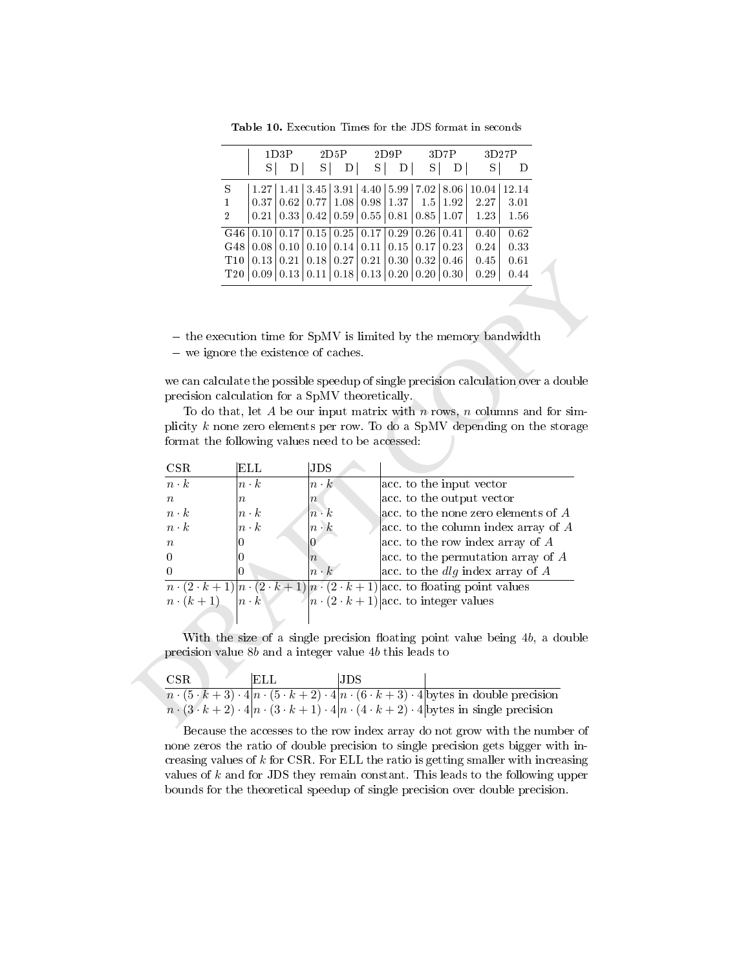|                |                                                                                                     | 1D3P |     | 2D5P | 2D9P | 3D7P |                                                                 | 3D27P |
|----------------|-----------------------------------------------------------------------------------------------------|------|-----|------|------|------|-----------------------------------------------------------------|-------|
|                | S                                                                                                   | D    | S l | D    | D l  | D    | S.                                                              |       |
| S              |                                                                                                     |      |     |      |      |      | $ 1.27 1.41 3.45 3.91 4.40 5.99 7.02 8.06 10.04 12.14$          |       |
|                |                                                                                                     |      |     |      |      |      | $0.37   0.62   0.77   1.08   0.98   1.37   1.5   1.92   2.27  $ | 3.01  |
| $\overline{2}$ | $(0.21   0.33   0.42   0.59   0.55   0.81   0.85   1.07)$                                           |      |     |      |      |      | 1.23                                                            | 1.56  |
|                | G46   0.10   0.17   0.15   0.25   0.17   0.29   0.26   0.41                                         |      |     |      |      |      | 0.40                                                            | 0.62  |
|                | G48 $\vert 0.08 \vert 0.10 \vert 0.10 \vert 0.14 \vert 0.11 \vert 0.15 \vert 0.17 \vert 0.23 \vert$ |      |     |      |      |      | 0.24                                                            | 0.33  |
|                | $T10   0.13   0.21   0.18   0.27   0.21   0.30   0.32   0.46  $                                     |      |     |      |      |      | 0.45                                                            | 0.61  |
| T20            | $\vert 0.09 \vert 0.13 \vert 0.11 \vert 0.18 \vert 0.13 \vert 0.20 \vert 0.20 \vert 0.30$           |      |     |      |      |      | 0.29                                                            | 0.44  |

Table 10. Execution Times for the JDS format in seconds

| precision calculation for a SpMV theoretically. | we can calculate the possible speedup of single precision calculation over a double                                                                        |
|-------------------------------------------------|------------------------------------------------------------------------------------------------------------------------------------------------------------|
|                                                 |                                                                                                                                                            |
|                                                 |                                                                                                                                                            |
|                                                 | To do that, let A be our input matrix with $n$ rows, $n$ columns and for sim-                                                                              |
|                                                 | plicity $k$ none zero elements per row. To do a SpMV depending on the storage                                                                              |
|                                                 |                                                                                                                                                            |
| ELL                                             |                                                                                                                                                            |
| $n \cdot k$                                     | acc. to the input vector                                                                                                                                   |
| $\it{n}$                                        | acc. to the output vector                                                                                                                                  |
| $\vert n \cdot k \vert$                         | acc. to the none zero elements of $A$                                                                                                                      |
| $n \cdot k$                                     | acc. to the column index array of $A$                                                                                                                      |
| 0                                               | acc. to the row index array of $A$                                                                                                                         |
| $\cup$                                          | acc. to the permutation array of $A$                                                                                                                       |
| 0                                               | acc. to the $dlg$ index array of $A$                                                                                                                       |
|                                                 | $\boxed{n\cdot(2\cdot k+1)n\cdot(2\cdot k+1)n\cdot(2\cdot k+1)}$ acc. to floating point values                                                             |
| $n\cdot (k+1)$ $\big n\cdot k\big $             | $\left n\cdot(2\cdot k+1)\right $ acc. to integer values                                                                                                   |
|                                                 |                                                                                                                                                            |
|                                                 |                                                                                                                                                            |
|                                                 | With the size of a single precision floating point value being $4b$ , a double                                                                             |
|                                                 | format the following values need to be accessed:<br><b>JDS</b><br>$n \cdot k$<br>$\,n$<br>$n \cdot k$<br>$n \cdot k$<br>0<br>$\overline{n}$<br>$n \cdot k$ |

| -CSR. | IELL. | LIDS |                                                                                                                                   |
|-------|-------|------|-----------------------------------------------------------------------------------------------------------------------------------|
|       |       |      | $n \cdot (5 \cdot k + 3) \cdot 4   n \cdot (5 \cdot k + 2) \cdot 4   n \cdot (6 \cdot k + 3) \cdot 4  $ bytes in double precision |
|       |       |      | $n \cdot (3 \cdot k + 2) \cdot 4   n \cdot (3 \cdot k + 1) \cdot 4   n \cdot (4 \cdot k + 2) \cdot 4  $ bytes in single precision |

Because the accesses to the row index array do not grow with the number of none zeros the ratio of double precision to single precision gets bigger with increasing values of  $k$  for CSR. For ELL the ratio is getting smaller with increasing values of  $k$  and for JDS they remain constant. This leads to the following upper bounds for the theoretical speedup of single precision over double precision.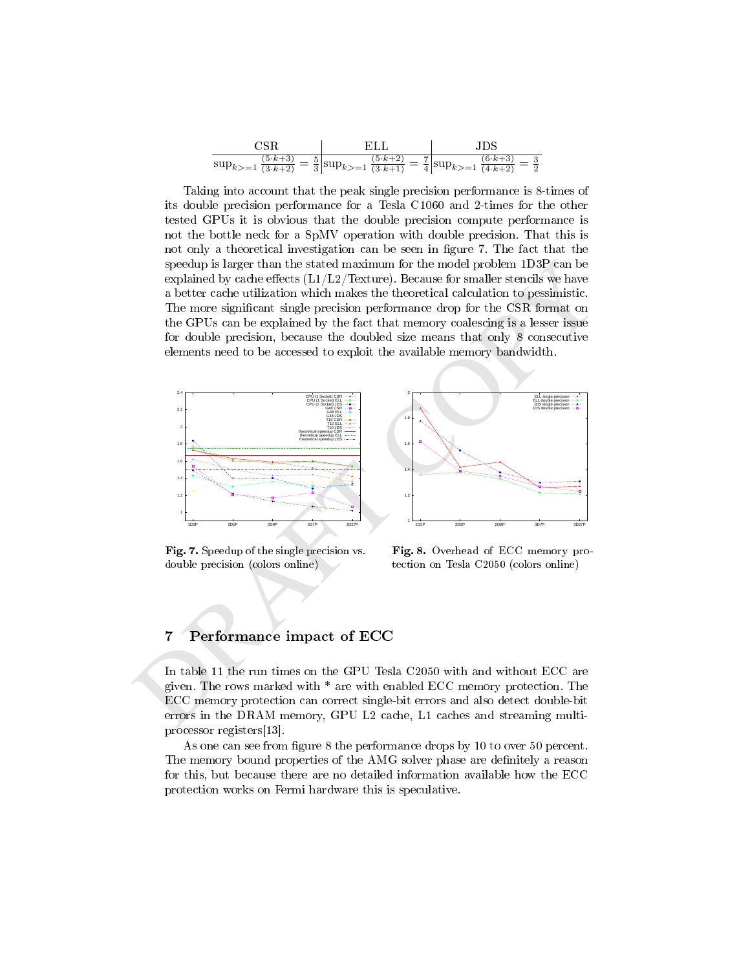| CSR                                            |                                                                                                                                                                   |  |  |  |  |
|------------------------------------------------|-------------------------------------------------------------------------------------------------------------------------------------------------------------------|--|--|--|--|
| $\sup_{k>1} \frac{\binom{6-k+1}{3-k+2}}{3k+2}$ | $(5 \cdot k + 2)$<br>$=\frac{3}{3}\left \sup_{k>1}\frac{\sqrt{3(k+2)}}{(3\cdot k+1)}\right =\frac{1}{4}\left \sup_{k>1}\frac{\sqrt{3(k+2)}}{(4\cdot k+2)}\right $ |  |  |  |  |

speelup is larger than the stated maximum for the model problem 1D3P can<br>explained by cache effects (L1/L2/Texture). Because for smaller stenchis we have<br>a better cache utilization which makes the theoretical calculation Taking into account that the peak single precision performance is 8-times of its double precision performance for a Tesla C1060 and 2-times for the other tested GPUs it is obvious that the double precision compute performance is not the bottle neck for a SpMV operation with double precision. That this is not only a theoretical investigation can be seen in figure 7. The fact that the speedup is larger than the stated maximum for the model problem 1D3P can be explained by cache effects  $(L1/L2/Texture)$ . Because for smaller stencils we have a better cache utilization which makes the theoretical calculation to pessimistic. The more significant single precision performance drop for the CSR format on the GPUs can be explained by the fact that memory coalescing is a lesser issue for double precision, because the doubled size means that only 8 consecutive elements need to be accessed to exploit the available memory bandwidth.



 1 1.2 1.4 1.6 1.8 2 1D3P 2D5P 2D9P 3D7P 3D27P ELL single precision ELL double precision JDS single precision JDS double precision

Fig. 7. Speedup of the single precision vs. double precision (colors online)

Fig. 8. Overhead of ECC memory protection on Tesla C2050 (colors online)

# 7 Performance impact of ECC

In table 11 the run times on the GPU Tesla C2050 with and without ECC are given. The rows marked with \* are with enabled ECC memory protection. The ECC memory protection can correct single-bit errors and also detect double-bit errors in the DRAM memory, GPU L2 cache, L1 caches and streaming multiprocessor registers[13].

As one can see from figure 8 the performance drops by 10 to over 50 percent. The memory bound properties of the AMG solver phase are definitely a reason for this, but because there are no detailed information available how the ECC protection works on Fermi hardware this is speculative.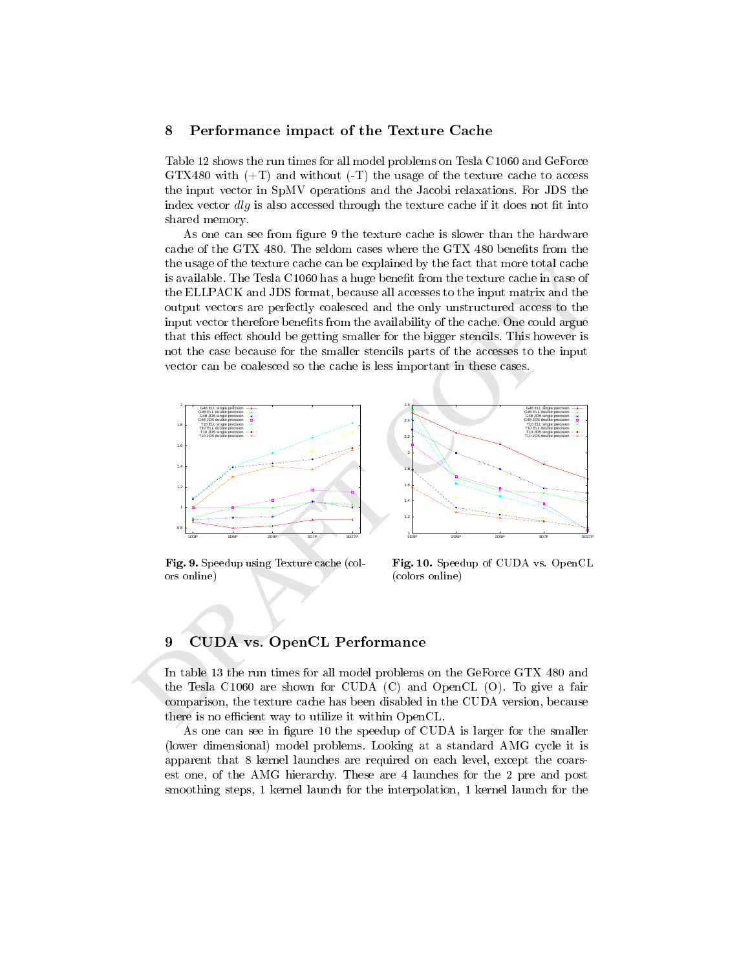### 8 Performance impact of the Texture Cache

Table 12 shows the run times for all model problems on Tesla C1060 and GeForce  $\text{GTX480}$  with  $(+\text{T})$  and without  $(-\text{T})$  the usage of the texture cache to access the input vector in SpMV operations and the Jacobi relaxations. For JDS the index vector  $dlg$  is also accessed through the texture cache if it does not fit into shared memory.

the usage of the texture cache can be explained by the fact that more total cache<br>is available. The Tesla C1060 bas a huge benefit from the taxture cache in case of<br>the ELLPACK and DBS format, because all accesses to the i As one can see from figure 9 the texture cache is slower than the hardware cache of the GTX 480. The seldom cases where the GTX 480 benefits from the the usage of the texture cache can be explained by the fact that more total cache is available. The Tesla C1060 has a huge benefit from the texture cache in case of the ELLPACK and JDS format, because all accesses to the input matrix and the output vectors are perfectly coalesced and the only unstructured access to the input vector therefore benefits from the availability of the cache. One could argue that this effect should be getting smaller for the bigger stencils. This however is not the case because for the smaller stencils parts of the accesses to the input vector can be coalesced so the cache is less important in these cases.





Fig. 9. Speedup using Texture cache (colors online)

Fig. 10. Speedup of CUDA vs. OpenCL (colors online)

# 9 CUDA vs. OpenCL Performance

In table 13 the run times for all model problems on the GeForce GTX 480 and the Tesla C1060 are shown for CUDA (C) and OpenCL (O). To give a fair comparison, the texture cache has been disabled in the CUDA version, because there is no efficient way to utilize it within OpenCL.

As one can see in figure 10 the speedup of CUDA is larger for the smaller (lower dimensional) model problems. Looking at a standard AMG cycle it is apparent that 8 kernel launches are required on each level, except the coarsest one, of the AMG hierarchy. These are 4 launches for the 2 pre and post smoothing steps, 1 kernel launch for the interpolation, 1 kernel launch for the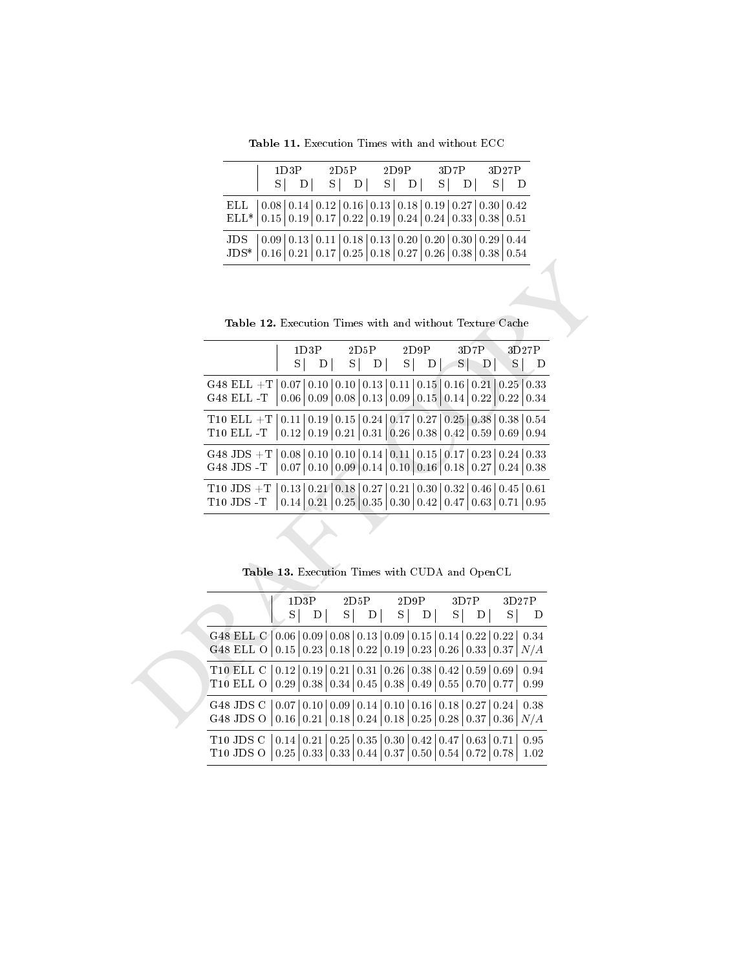Table 11. Execution Times with and without ECC

|                                                                                                                                                                                                                         | $1D3P$ $2D5P$ |         |       |  |         |  | 2D9P 3D7P 3D27P |                 |  |  |
|-------------------------------------------------------------------------------------------------------------------------------------------------------------------------------------------------------------------------|---------------|---------|-------|--|---------|--|-----------------|-----------------|--|--|
|                                                                                                                                                                                                                         |               | $S$ $D$ | $S$ D |  | $S$ $D$ |  |                 | $S$ $D$ $S$ $D$ |  |  |
| ${\rm ELL\atop ELL}\nmid{0.08}\nmid{0.14}\nmid{0.12}\nmid{0.16}\nmid{0.13}\nmid{0.18}\nmid{0.19}\nmid{0.22}\nmid{0.19}\nmid{0.24}\nmid{0.27}\nmid{0.30}\nmid{0.38}\nmid{0.42}\n\n0.15$                                  |               |         |       |  |         |  |                 |                 |  |  |
| $\begin{array}{c c c c c c c c c} \text{JDS} & 0.09 & 0.13 & 0.11 & 0.18 & 0.13 & 0.20 & 0.20 & 0.30 & 0.29 & 0.44 \\ \text{JDS*} & 0.16 & 0.21 & 0.17 & 0.25 & 0.18 & 0.27 & 0.26 & 0.38 & 0.38 & 0.54 \\ \end{array}$ |               |         |       |  |         |  |                 |                 |  |  |

Table 12. Execution Times with and without Texture Cache

|                                                                                                                                                                                                               | 1D3P                                           |                                                                                                                                                                                                      | 2D5P        |      | 2D9P  |      | 3D7P  |                    | 3D27P |
|---------------------------------------------------------------------------------------------------------------------------------------------------------------------------------------------------------------|------------------------------------------------|------------------------------------------------------------------------------------------------------------------------------------------------------------------------------------------------------|-------------|------|-------|------|-------|--------------------|-------|
|                                                                                                                                                                                                               | $S \mid$                                       | $S \mid$<br>D                                                                                                                                                                                        | D           |      | $S$ D |      | $S$ D | $\mathbf S$        | D     |
| $G48$ ELL $+T$<br>G48 ELL T                                                                                                                                                                                   |                                                | $0.07 0.10 0.10 0.13 0.11 0.15 0.16 0.21 0.25 0.33$<br>$0.06 \mid 0.09 \mid 0.08 \mid 0.13 \mid 0.09 \mid 0.15 \mid 0.14 \mid 0.22 \mid 0.22 \mid 0.34$                                              |             |      |       |      |       |                    |       |
| $T10\,\,{\rm ELL}\,\,{\rm +T}\,$<br>T10 ELL -T                                                                                                                                                                |                                                | $0.11 0.19 0.15 0.24 0.17 0.27 0.25 0.38 0.38 0.54$<br>$0.12 0.19 0.21 0.31 0.26 0.38 0.42 0.59 0.69 0.94$                                                                                           |             |      |       |      |       |                    |       |
| $G48$ JDS $+T$<br>G48 JDS -T                                                                                                                                                                                  |                                                | $0.08 \mid 0.10 \mid 0.10 \mid 0.14 \mid 0.11 \mid 0.15 \mid 0.17 \mid 0.23 \mid 0.24 \mid 0.33$<br>$0.07 \mid 0.10 \mid 0.09 \mid 0.14 \mid 0.10 \mid 0.16 \mid 0.18 \mid 0.27 \mid 0.24 \mid 0.38$ |             |      |       |      |       |                    |       |
| $T10$ JDS $+T$<br>T <sub>10</sub> JDS T                                                                                                                                                                       |                                                | $0.13   0.21   0.18   0.27   0.21   0.30   0.32   0.46   0.45   0.61$<br>$0.14\,0.21\,0.25\,0.35\,0.30\,0.42\,0.47\,0.63\,0.71\,0.95$                                                                |             |      |       |      |       |                    |       |
|                                                                                                                                                                                                               |                                                |                                                                                                                                                                                                      |             |      |       |      |       |                    |       |
|                                                                                                                                                                                                               | Table 13. Execution Times with CUDA and OpenCL |                                                                                                                                                                                                      |             |      |       |      |       |                    |       |
|                                                                                                                                                                                                               | 1D3P<br>S                                      | $S$  <br>D                                                                                                                                                                                           | 2D5P<br>$D$ | 2D9P | $S$ D | 3D7P | $S$ D | 3D27P<br>$S \vert$ | D     |
| G48 ELL C $\mid$ 0.06 $\mid$ 0.09 $\mid$ 0.08 $\mid$ 0.13 $\mid$ 0.09 $\mid$ 0.15 $\mid$ 0.14 $\mid$ 0.22 $\mid$ 0.22 $\mid$ 0.34                                                                             |                                                |                                                                                                                                                                                                      |             |      |       |      |       |                    |       |
| G48 ELL O $\vert 0.15 \vert 0.23 \vert 0.18 \vert 0.22 \vert 0.19 \vert 0.23 \vert 0.26 \vert 0.33 \vert 0.37 \vert N/A$                                                                                      |                                                |                                                                                                                                                                                                      |             |      |       |      |       |                    |       |
| T10 ELL C   0.12   0.19   0.21   0.31   0.26   0.38   0.42   0.59   0.69   0.94<br>T <sub>10</sub> ELL O $\vert 0.29 \vert 0.38 \vert 0.34 \vert 0.45 \vert 0.38 \vert 0.49 \vert 0.55 \vert 0.70 \vert 0.77$ |                                                |                                                                                                                                                                                                      |             |      |       |      |       |                    | 0.99  |

Table 13. Execution Times with CUDA and OpenCL

|                                                                                                                                                                                                                                                               |   | $1D3P$ $2D5P$ $2D9P$ $3D7P$ $3D27P$ |  |           |  |                |     |      |
|---------------------------------------------------------------------------------------------------------------------------------------------------------------------------------------------------------------------------------------------------------------|---|-------------------------------------|--|-----------|--|----------------|-----|------|
|                                                                                                                                                                                                                                                               | S | DΙ                                  |  | S D S D S |  | D <sub>1</sub> | S l | - D  |
| G48 ELL C $\mid$ 0.06 $\mid$ 0.09 $\mid$ 0.08 $\mid$ 0.13 $\mid$ 0.09 $\mid$ 0.15 $\mid$ 0.14 $\mid$ 0.22 $\mid$ 0.22 $\mid$ 0.34<br>G48 ELL O $\vert 0.15 \vert 0.23 \vert 0.18 \vert 0.22 \vert 0.19 \vert 0.23 \vert 0.26 \vert 0.33 \vert 0.37 \vert N/A$ |   |                                     |  |           |  |                |     |      |
| T10 ELL C   0.12   0.19   0.21   0.31   0.26   0.38   0.42   0.59   0.69   0.94<br>T10 ELL O $\vert 0.29 \vert 0.38 \vert 0.34 \vert 0.45 \vert 0.38 \vert 0.49 \vert 0.55 \vert 0.70 \vert 0.77 \vert 0.99$                                                  |   |                                     |  |           |  |                |     |      |
| G48 JDS C $\vert 0.07 \vert 0.10 \vert 0.09 \vert 0.14 \vert 0.10 \vert 0.16 \vert 0.18 \vert 0.27 \vert 0.24 \vert 0.38$<br>G48 JDS O $\vert 0.16 \vert 0.21 \vert 0.18 \vert 0.24 \vert 0.18 \vert 0.25 \vert 0.28 \vert 0.37 \vert 0.36 \vert N/A$         |   |                                     |  |           |  |                |     |      |
| T10 JDS C $\vert 0.14 \vert 0.21 \vert 0.25 \vert 0.35 \vert 0.30 \vert 0.42 \vert 0.47 \vert 0.63 \vert 0.71 \vert 0.95$<br>T10 JDS O $\vert 0.25 \vert 0.33 \vert 0.33 \vert 0.44 \vert 0.37 \vert 0.50 \vert 0.54 \vert 0.72 \vert 0.78 \vert$             |   |                                     |  |           |  |                |     | 1.02 |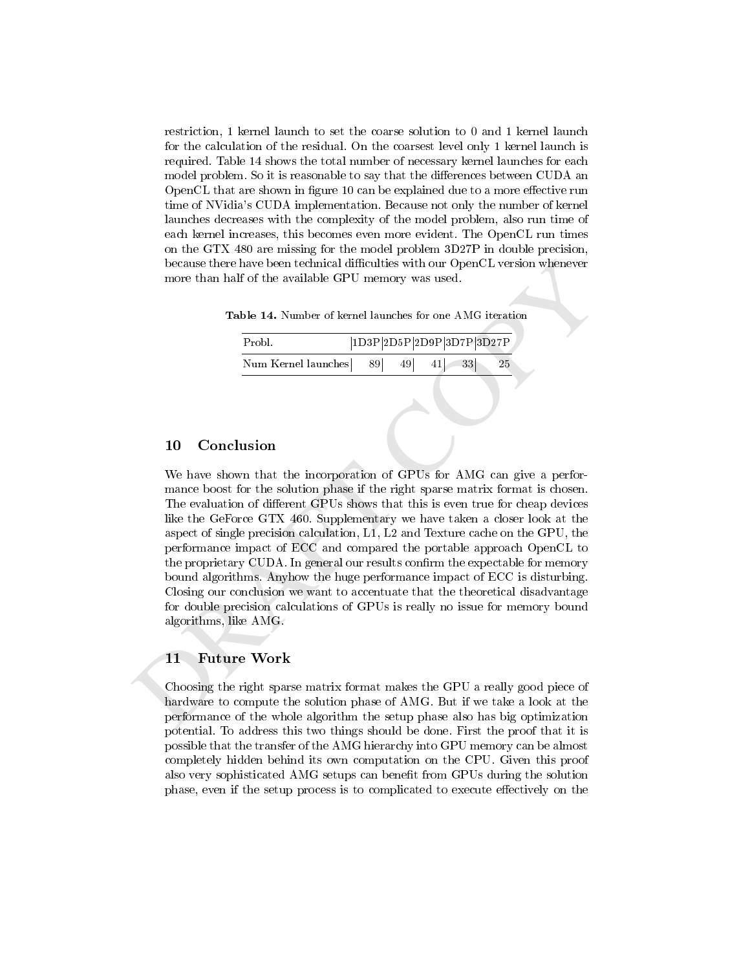restriction, 1 kernel launch to set the coarse solution to 0 and 1 kernel launch for the calculation of the residual. On the coarsest level only 1 kernel launch is required. Table 14 shows the total number of necessary kernel launches for each model problem. So it is reasonable to say that the differences between CUDA an OpenCL that are shown in figure  $10$  can be explained due to a more effective run time of NVidia's CUDA implementation. Because not only the number of kernel launches decreases with the complexity of the model problem, also run time of each kernel increases, this becomes even more evident. The OpenCL run times on the GTX 480 are missing for the model problem 3D27P in double precision, because there have been technical difficulties with our OpenCL version whenever more than half of the available GPU memory was used.

| <b>Table 14.</b> Number of kernel launches for one AMG iteration |  |  |  |  |  |
|------------------------------------------------------------------|--|--|--|--|--|
|------------------------------------------------------------------|--|--|--|--|--|

| Probl.                                                                                              |  | 1D3P 2D5P 2D9P 3D7P 3D27P |  |
|-----------------------------------------------------------------------------------------------------|--|---------------------------|--|
| Num Kernel launches $\begin{array}{ c c c c c } \hline 89 & 49 & 41 & 33 & 25 \ \hline \end{array}$ |  |                           |  |

# 10 Conclusion

because there have been technical differentiates with our OpenCL version whenever<br>more than half of the available GPU memory was used.<br>
Table 14. Number of kernel launches for one AMG iteration<br>  $\frac{1}{25}$ <br>  $\frac{1}{25}$ <br>  $\$ We have shown that the incorporation of GPUs for AMG can give a performance boost for the solution phase if the right sparse matrix format is chosen. The evaluation of different GPUs shows that this is even true for cheap devices like the GeForce GTX 460. Supplementary we have taken a closer look at the aspect of single precision calculation, L1, L2 and Texture cache on the GPU, the performance impact of ECC and compared the portable approach OpenCL to the proprietary CUDA. In general our results confirm the expectable for memory bound algorithms. Anyhow the huge performance impact of ECC is disturbing. Closing our conclusion we want to accentuate that the theoretical disadvantage for double precision calculations of GPUs is really no issue for memory bound algorithms, like AMG.

### 11 Future Work

Choosing the right sparse matrix format makes the GPU a really good piece of hardware to compute the solution phase of AMG. But if we take a look at the performance of the whole algorithm the setup phase also has big optimization potential. To address this two things should be done. First the proof that it is possible that the transfer of the AMG hierarchy into GPU memory can be almost completely hidden behind its own computation on the CPU. Given this proof also very sophisticated AMG setups can benefit from GPUs during the solution phase, even if the setup process is to complicated to execute effectively on the